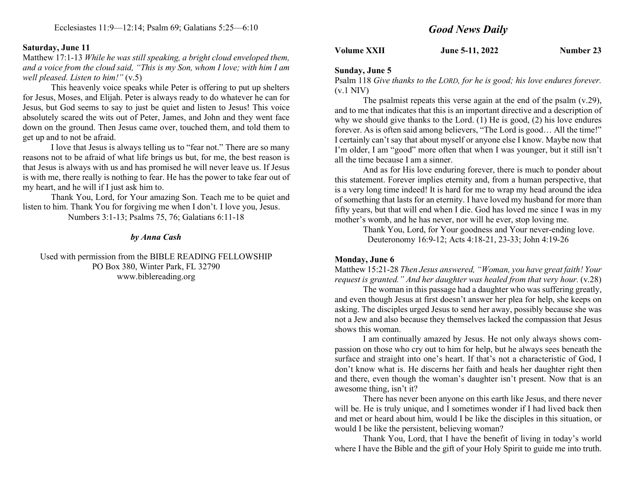### Saturday, June 11

Matthew 17:1-13 While he was still speaking, a bright cloud enveloped them, and a voice from the cloud said, "This is my Son, whom I love; with him I am well pleased. Listen to him!" (v.5)

This heavenly voice speaks while Peter is offering to put up shelters for Jesus, Moses, and Elijah. Peter is always ready to do whatever he can for Jesus, but God seems to say to just be quiet and listen to Jesus! This voice absolutely scared the wits out of Peter, James, and John and they went face down on the ground. Then Jesus came over, touched them, and told them to get up and to not be afraid.

I love that Jesus is always telling us to "fear not." There are so many reasons not to be afraid of what life brings us but, for me, the best reason is that Jesus is always with us and has promised he will never leave us. If Jesus is with me, there really is nothing to fear. He has the power to take fear out of my heart, and he will if I just ask him to.

Thank You, Lord, for Your amazing Son. Teach me to be quiet and listen to him. Thank You for forgiving me when I don't. I love you, Jesus.

Numbers 3:1-13; Psalms 75, 76; Galatians 6:11-18

#### by Anna Cash

Used with permission from the BIBLE READING FELLOWSHIP PO Box 380, Winter Park, FL 32790 www.biblereading.org

Volume XXII June 5-11, 2022 Number 23

#### Sunday, June 5

Psalm 118 Give thanks to the LORD, for he is good; his love endures forever. (v.1 NIV)

The psalmist repeats this verse again at the end of the psalm (v.29), and to me that indicates that this is an important directive and a description of why we should give thanks to the Lord. (1) He is good, (2) his love endures forever. As is often said among believers, "The Lord is good… All the time!" I certainly can't say that about myself or anyone else I know. Maybe now that I'm older, I am "good" more often that when I was younger, but it still isn't all the time because I am a sinner.

And as for His love enduring forever, there is much to ponder about this statement. Forever implies eternity and, from a human perspective, that is a very long time indeed! It is hard for me to wrap my head around the idea of something that lasts for an eternity. I have loved my husband for more than fifty years, but that will end when I die. God has loved me since I was in my mother's womb, and he has never, nor will he ever, stop loving me.

> Thank You, Lord, for Your goodness and Your never-ending love. Deuteronomy 16:9-12; Acts 4:18-21, 23-33; John 4:19-26

#### Monday, June 6

Matthew 15:21-28 Then Jesus answered, "Woman, you have great faith! Your request is granted." And her daughter was healed from that very hour. (v.28)

The woman in this passage had a daughter who was suffering greatly, and even though Jesus at first doesn't answer her plea for help, she keeps on asking. The disciples urged Jesus to send her away, possibly because she was not a Jew and also because they themselves lacked the compassion that Jesus shows this woman.

I am continually amazed by Jesus. He not only always shows compassion on those who cry out to him for help, but he always sees beneath the surface and straight into one's heart. If that's not a characteristic of God, I don't know what is. He discerns her faith and heals her daughter right then and there, even though the woman's daughter isn't present. Now that is an awesome thing, isn't it?

There has never been anyone on this earth like Jesus, and there never will be. He is truly unique, and I sometimes wonder if I had lived back then and met or heard about him, would I be like the disciples in this situation, or would I be like the persistent, believing woman?

Thank You, Lord, that I have the benefit of living in today's world where I have the Bible and the gift of your Holy Spirit to guide me into truth.

# Good News Daily